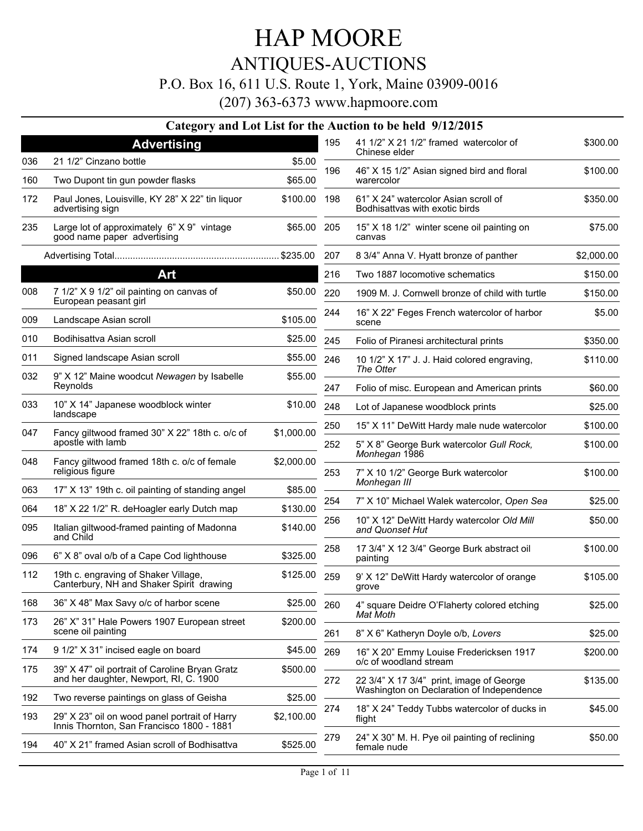### ANTIQUES-AUCTIONS

#### P.O. Box 16, 611 U.S. Route 1, York, Maine 03909-0016

#### (207) 363-6373 www.hapmoore.com **Category and Lot List for the Auction to be held 9/12/2015 Advertising** 036 21 1/2" Cinzano bottle **\$5.00** 160 Two Dupont tin gun powder flasks \$65.00 Paul Jones, Louisville, KY 28" X 22" tin liquor 172 \$100.00 advertising sign Large lot of approximately 6" X 9" vintage 235 \$65.00 good name paper advertising Advertising Total............................................................... \$235.00 **Art** 008 7 1/2" X 9 1/2" oil painting on canvas of  $$50.00$ European peasant girl 009 Landscape Asian scroll \$105.00 010 Bodihisattva Asian scroll 600 and 525.00 011 Signed landscape Asian scroll \$55.00 032 9" X 12" Maine woodcut Newagen by Isabelle \$55.00 Reynolds 10" X 14" Japanese woodblock winter 033 \$10.00 landscape 047 Fancy giltwood framed 30" X 22" 18th c. o/c of \$1,000.00 apostle with lamb Fancy giltwood framed 18th c. o/c of female 048 \$2,000.00 religious figure 063 17" X 13" 19th c. oil painting of standing angel \$85.00 064 18" X 22 1/2" R. deHoagler early Dutch map \$130.00 095 Italian giltwood-framed painting of Madonna  $$140.00$ and Child 096  $6"$  X 8" oval o/b of a Cape Cod lighthouse  $$325.00$ 112 19th c. engraving of Shaker Village,  $$125.00$ Canterbury, NH and Shaker Spirit drawing 168 36" X 48" Max Savy o/c of harbor scene \$25.00 26" X" 31" Hale Powers 1907 European street 173 \$200.00 scene oil painting 174 9 1/2" X 31" incised eagle on board \$45.00 39" X 47" oil portrait of Caroline Bryan Gratz 175 \$500.00 and her daughter, Newport, RI, C. 1900 41 1/2" X 21 1/2" framed watercolor of 195 \$300.00 Chinese elder 46" X 15 1/2" Asian signed bird and floral 196 \$100.00 warercolor 61" X 24" watercolor Asian scroll of 198 \$350.00 Bodhisattvas with exotic birds 15" X 18 1/2" winter scene oil painting on 205 \$75.00 canvas 207 8 3/4" Anna V. Hyatt bronze of panther \$2,000.00 216 Two 1887 locomotive schematics  $$150.00$ 220 1909 M. J. Cornwell bronze of child with turtle \$150.00 244 16" X 22" Feges French watercolor of harbor  $$5.00$ scene 245 Folio of Piranesi architectural prints \$350.00 10 1/2" X 17" J. J. Haid colored engraving, 246 \$110.00 *The Otter* 247 Folio of misc. European and American prints \$60.00 248 Lot of Japanese woodblock prints \$25.00 250 15" X 11" DeWitt Hardy male nude watercolor \$100.00 5" X 8" George Burk watercolor *Gull Rock,* 252 \$100.00 *Monhegan* 1986 7" X 10 1/2" George Burk watercolor 253 \$100.00 *Monhegan III* 254 7" X 10" Michael Walek watercolor, Open Sea \$25.00 10" X 12" DeWitt Hardy watercolor *Old Mill* 256 \$50.00 *and Quonset Hut* 17 3/4" X 12 3/4" George Burk abstract oil 258 \$100.00 painting 259 9' X 12" DeWitt Hardy watercolor of orange \$105.00 grove 4" square Deidre O'Flaherty colored etching 260 \$25.00 *Mat Moth* 261 8" X 6" Katheryn Doyle o/b, Lovers \$25.00 16" X 20" Emmy Louise Fredericksen 1917 269 \$200.00 o/c of woodland stream

29" X 23" oil on wood panel portrait of Harry 193 \$2,100.00

194 40" X 21" framed Asian scroll of Bodhisattva \$525.00

Innis Thornton, San Francisco 1800 - 1881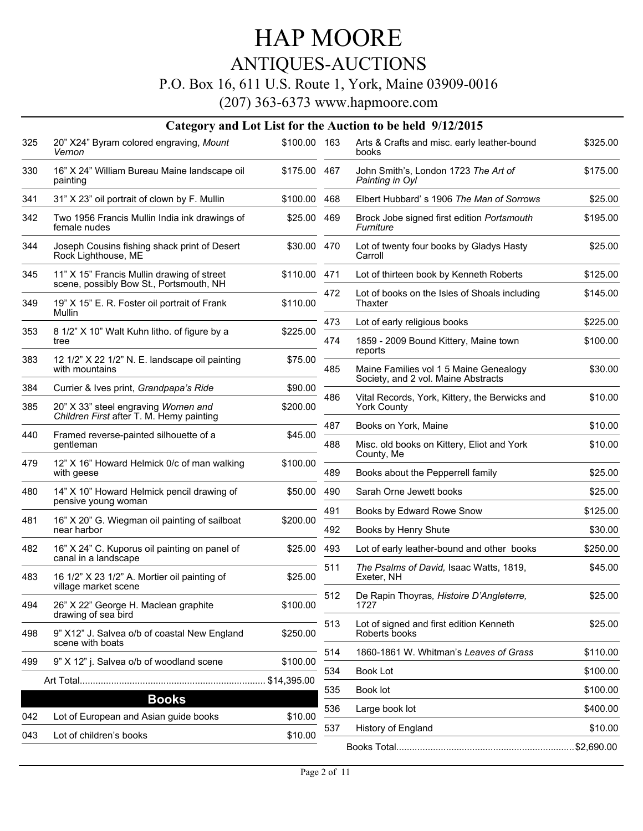# ANTIQUES-AUCTIONS

#### P.O. Box 16, 611 U.S. Route 1, York, Maine 03909-0016

| \$100.00 163<br>\$325.00<br>325<br>20" X24" Byram colored engraving, Mount<br>Arts & Crafts and misc. early leather-bound<br>Vernon<br>books<br>16" X 24" William Bureau Maine landscape oil<br>John Smith's, London 1723 The Art of<br>\$175.00<br>330<br>\$175.00 467<br>Painting in Oyl<br>painting<br>\$25.00<br>341<br>31" X 23" oil portrait of clown by F. Mullin<br>\$100.00<br>468<br>Elbert Hubbard's 1906 The Man of Sorrows<br>342<br>Two 1956 Francis Mullin India ink drawings of<br>\$195.00<br>\$25.00<br>469<br>Brock Jobe signed first edition Portsmouth<br>female nudes<br>Furniture<br>\$25.00<br>344<br>Joseph Cousins fishing shack print of Desert<br>\$30.00 470<br>Lot of twenty four books by Gladys Hasty<br>Rock Lighthouse, ME<br>Carroll<br>11" X 15" Francis Mullin drawing of street<br>345<br>\$110.00 471<br>Lot of thirteen book by Kenneth Roberts<br>\$125.00<br>scene, possibly Bow St., Portsmouth, NH<br>\$145.00<br>472<br>Lot of books on the Isles of Shoals including<br>349<br>19" X 15" E. R. Foster oil portrait of Frank<br>\$110.00<br>Thaxter<br>Mullin<br>473<br>Lot of early religious books<br>\$225.00<br>8 1/2" X 10" Walt Kuhn litho. of figure by a<br>353<br>\$225.00<br>\$100.00<br>474<br>1859 - 2009 Bound Kittery, Maine town<br>tree<br>reports<br>12 1/2" X 22 1/2" N. E. landscape oil painting<br>383<br>\$75.00<br>Maine Families vol 1 5 Maine Genealogy<br>\$30.00<br>with mountains<br>485<br>Society, and 2 vol. Maine Abstracts<br>384<br>Currier & Ives print, Grandpapa's Ride<br>\$90.00<br>486<br>Vital Records, York, Kittery, the Berwicks and<br>\$10.00<br>385<br>20" X 33" steel engraving Women and<br>\$200.00<br><b>York County</b><br>Children First after T. M. Hemy painting<br>\$10.00<br>487<br>Books on York, Maine<br>440<br>Framed reverse-painted silhouette of a<br>\$45.00<br>Misc. old books on Kittery, Eliot and York<br>\$10.00<br>gentleman<br>488<br>County, Me<br>12" X 16" Howard Helmick 0/c of man walking<br>479<br>\$100.00<br>with geese<br>489<br>Books about the Pepperrell family<br>\$25.00<br>14" X 10" Howard Helmick pencil drawing of<br>480<br>\$50.00<br>490<br>Sarah Orne Jewett books<br>\$25.00<br>pensive young woman<br>491<br>Books by Edward Rowe Snow<br>\$125.00<br>16" X 20" G. Wiegman oil painting of sailboat<br>481<br>\$200.00<br>near harbor<br>492<br>Books by Henry Shute<br>\$30.00<br>482<br>16" X 24" C. Kuporus oil painting on panel of<br>\$25.00<br>493<br>Lot of early leather-bound and other books<br>\$250.00<br>canal in a landscape<br>\$45.00<br>511<br>The Psalms of David, Isaac Watts, 1819,<br>16 1/2" X 23 1/2" A. Mortier oil painting of<br>483<br>\$25.00<br>Exeter, NH<br>village market scene<br>512<br>De Rapin Thoyras, Histoire D'Angleterre,<br>\$25.00<br>494<br>26" X 22" George H. Maclean graphite<br>\$100.00<br>1727<br>drawing of sea bird<br>513<br>Lot of signed and first edition Kenneth<br>\$25.00<br>9" X12" J. Salvea o/b of coastal New England<br>498<br>\$250.00<br>Roberts books<br>scene with boats<br>\$110.00<br>1860-1861 W. Whitman's Leaves of Grass<br>514<br>9" X 12" j. Salvea o/b of woodland scene<br>\$100.00<br>499<br>534<br>Book Lot<br>\$100.00<br>\$14,395.00<br>Book lot<br>\$100.00<br>535<br><b>Books</b><br>536<br>Large book lot<br>\$400.00<br>Lot of European and Asian guide books<br>\$10.00<br>042<br>\$10.00<br>History of England<br>537<br>Lot of children's books<br>043<br>\$10.00 |  |  | Category and Lot List for the Auction to be held 9/12/2015 |  |
|-----------------------------------------------------------------------------------------------------------------------------------------------------------------------------------------------------------------------------------------------------------------------------------------------------------------------------------------------------------------------------------------------------------------------------------------------------------------------------------------------------------------------------------------------------------------------------------------------------------------------------------------------------------------------------------------------------------------------------------------------------------------------------------------------------------------------------------------------------------------------------------------------------------------------------------------------------------------------------------------------------------------------------------------------------------------------------------------------------------------------------------------------------------------------------------------------------------------------------------------------------------------------------------------------------------------------------------------------------------------------------------------------------------------------------------------------------------------------------------------------------------------------------------------------------------------------------------------------------------------------------------------------------------------------------------------------------------------------------------------------------------------------------------------------------------------------------------------------------------------------------------------------------------------------------------------------------------------------------------------------------------------------------------------------------------------------------------------------------------------------------------------------------------------------------------------------------------------------------------------------------------------------------------------------------------------------------------------------------------------------------------------------------------------------------------------------------------------------------------------------------------------------------------------------------------------------------------------------------------------------------------------------------------------------------------------------------------------------------------------------------------------------------------------------------------------------------------------------------------------------------------------------------------------------------------------------------------------------------------------------------------------------------------------------------------------------------------------------------------------------------------------------------------------------------------------------------------------------------------------------------------------------------------------------------------------------------------------------------------------------------------------------------------------------------------------------------------------------------------------------------------|--|--|------------------------------------------------------------|--|
|                                                                                                                                                                                                                                                                                                                                                                                                                                                                                                                                                                                                                                                                                                                                                                                                                                                                                                                                                                                                                                                                                                                                                                                                                                                                                                                                                                                                                                                                                                                                                                                                                                                                                                                                                                                                                                                                                                                                                                                                                                                                                                                                                                                                                                                                                                                                                                                                                                                                                                                                                                                                                                                                                                                                                                                                                                                                                                                                                                                                                                                                                                                                                                                                                                                                                                                                                                                                                                                                                                           |  |  |                                                            |  |
|                                                                                                                                                                                                                                                                                                                                                                                                                                                                                                                                                                                                                                                                                                                                                                                                                                                                                                                                                                                                                                                                                                                                                                                                                                                                                                                                                                                                                                                                                                                                                                                                                                                                                                                                                                                                                                                                                                                                                                                                                                                                                                                                                                                                                                                                                                                                                                                                                                                                                                                                                                                                                                                                                                                                                                                                                                                                                                                                                                                                                                                                                                                                                                                                                                                                                                                                                                                                                                                                                                           |  |  |                                                            |  |
|                                                                                                                                                                                                                                                                                                                                                                                                                                                                                                                                                                                                                                                                                                                                                                                                                                                                                                                                                                                                                                                                                                                                                                                                                                                                                                                                                                                                                                                                                                                                                                                                                                                                                                                                                                                                                                                                                                                                                                                                                                                                                                                                                                                                                                                                                                                                                                                                                                                                                                                                                                                                                                                                                                                                                                                                                                                                                                                                                                                                                                                                                                                                                                                                                                                                                                                                                                                                                                                                                                           |  |  |                                                            |  |
|                                                                                                                                                                                                                                                                                                                                                                                                                                                                                                                                                                                                                                                                                                                                                                                                                                                                                                                                                                                                                                                                                                                                                                                                                                                                                                                                                                                                                                                                                                                                                                                                                                                                                                                                                                                                                                                                                                                                                                                                                                                                                                                                                                                                                                                                                                                                                                                                                                                                                                                                                                                                                                                                                                                                                                                                                                                                                                                                                                                                                                                                                                                                                                                                                                                                                                                                                                                                                                                                                                           |  |  |                                                            |  |
|                                                                                                                                                                                                                                                                                                                                                                                                                                                                                                                                                                                                                                                                                                                                                                                                                                                                                                                                                                                                                                                                                                                                                                                                                                                                                                                                                                                                                                                                                                                                                                                                                                                                                                                                                                                                                                                                                                                                                                                                                                                                                                                                                                                                                                                                                                                                                                                                                                                                                                                                                                                                                                                                                                                                                                                                                                                                                                                                                                                                                                                                                                                                                                                                                                                                                                                                                                                                                                                                                                           |  |  |                                                            |  |
|                                                                                                                                                                                                                                                                                                                                                                                                                                                                                                                                                                                                                                                                                                                                                                                                                                                                                                                                                                                                                                                                                                                                                                                                                                                                                                                                                                                                                                                                                                                                                                                                                                                                                                                                                                                                                                                                                                                                                                                                                                                                                                                                                                                                                                                                                                                                                                                                                                                                                                                                                                                                                                                                                                                                                                                                                                                                                                                                                                                                                                                                                                                                                                                                                                                                                                                                                                                                                                                                                                           |  |  |                                                            |  |
|                                                                                                                                                                                                                                                                                                                                                                                                                                                                                                                                                                                                                                                                                                                                                                                                                                                                                                                                                                                                                                                                                                                                                                                                                                                                                                                                                                                                                                                                                                                                                                                                                                                                                                                                                                                                                                                                                                                                                                                                                                                                                                                                                                                                                                                                                                                                                                                                                                                                                                                                                                                                                                                                                                                                                                                                                                                                                                                                                                                                                                                                                                                                                                                                                                                                                                                                                                                                                                                                                                           |  |  |                                                            |  |
|                                                                                                                                                                                                                                                                                                                                                                                                                                                                                                                                                                                                                                                                                                                                                                                                                                                                                                                                                                                                                                                                                                                                                                                                                                                                                                                                                                                                                                                                                                                                                                                                                                                                                                                                                                                                                                                                                                                                                                                                                                                                                                                                                                                                                                                                                                                                                                                                                                                                                                                                                                                                                                                                                                                                                                                                                                                                                                                                                                                                                                                                                                                                                                                                                                                                                                                                                                                                                                                                                                           |  |  |                                                            |  |
|                                                                                                                                                                                                                                                                                                                                                                                                                                                                                                                                                                                                                                                                                                                                                                                                                                                                                                                                                                                                                                                                                                                                                                                                                                                                                                                                                                                                                                                                                                                                                                                                                                                                                                                                                                                                                                                                                                                                                                                                                                                                                                                                                                                                                                                                                                                                                                                                                                                                                                                                                                                                                                                                                                                                                                                                                                                                                                                                                                                                                                                                                                                                                                                                                                                                                                                                                                                                                                                                                                           |  |  |                                                            |  |
|                                                                                                                                                                                                                                                                                                                                                                                                                                                                                                                                                                                                                                                                                                                                                                                                                                                                                                                                                                                                                                                                                                                                                                                                                                                                                                                                                                                                                                                                                                                                                                                                                                                                                                                                                                                                                                                                                                                                                                                                                                                                                                                                                                                                                                                                                                                                                                                                                                                                                                                                                                                                                                                                                                                                                                                                                                                                                                                                                                                                                                                                                                                                                                                                                                                                                                                                                                                                                                                                                                           |  |  |                                                            |  |
|                                                                                                                                                                                                                                                                                                                                                                                                                                                                                                                                                                                                                                                                                                                                                                                                                                                                                                                                                                                                                                                                                                                                                                                                                                                                                                                                                                                                                                                                                                                                                                                                                                                                                                                                                                                                                                                                                                                                                                                                                                                                                                                                                                                                                                                                                                                                                                                                                                                                                                                                                                                                                                                                                                                                                                                                                                                                                                                                                                                                                                                                                                                                                                                                                                                                                                                                                                                                                                                                                                           |  |  |                                                            |  |
|                                                                                                                                                                                                                                                                                                                                                                                                                                                                                                                                                                                                                                                                                                                                                                                                                                                                                                                                                                                                                                                                                                                                                                                                                                                                                                                                                                                                                                                                                                                                                                                                                                                                                                                                                                                                                                                                                                                                                                                                                                                                                                                                                                                                                                                                                                                                                                                                                                                                                                                                                                                                                                                                                                                                                                                                                                                                                                                                                                                                                                                                                                                                                                                                                                                                                                                                                                                                                                                                                                           |  |  |                                                            |  |
|                                                                                                                                                                                                                                                                                                                                                                                                                                                                                                                                                                                                                                                                                                                                                                                                                                                                                                                                                                                                                                                                                                                                                                                                                                                                                                                                                                                                                                                                                                                                                                                                                                                                                                                                                                                                                                                                                                                                                                                                                                                                                                                                                                                                                                                                                                                                                                                                                                                                                                                                                                                                                                                                                                                                                                                                                                                                                                                                                                                                                                                                                                                                                                                                                                                                                                                                                                                                                                                                                                           |  |  |                                                            |  |
|                                                                                                                                                                                                                                                                                                                                                                                                                                                                                                                                                                                                                                                                                                                                                                                                                                                                                                                                                                                                                                                                                                                                                                                                                                                                                                                                                                                                                                                                                                                                                                                                                                                                                                                                                                                                                                                                                                                                                                                                                                                                                                                                                                                                                                                                                                                                                                                                                                                                                                                                                                                                                                                                                                                                                                                                                                                                                                                                                                                                                                                                                                                                                                                                                                                                                                                                                                                                                                                                                                           |  |  |                                                            |  |
|                                                                                                                                                                                                                                                                                                                                                                                                                                                                                                                                                                                                                                                                                                                                                                                                                                                                                                                                                                                                                                                                                                                                                                                                                                                                                                                                                                                                                                                                                                                                                                                                                                                                                                                                                                                                                                                                                                                                                                                                                                                                                                                                                                                                                                                                                                                                                                                                                                                                                                                                                                                                                                                                                                                                                                                                                                                                                                                                                                                                                                                                                                                                                                                                                                                                                                                                                                                                                                                                                                           |  |  |                                                            |  |
|                                                                                                                                                                                                                                                                                                                                                                                                                                                                                                                                                                                                                                                                                                                                                                                                                                                                                                                                                                                                                                                                                                                                                                                                                                                                                                                                                                                                                                                                                                                                                                                                                                                                                                                                                                                                                                                                                                                                                                                                                                                                                                                                                                                                                                                                                                                                                                                                                                                                                                                                                                                                                                                                                                                                                                                                                                                                                                                                                                                                                                                                                                                                                                                                                                                                                                                                                                                                                                                                                                           |  |  |                                                            |  |
|                                                                                                                                                                                                                                                                                                                                                                                                                                                                                                                                                                                                                                                                                                                                                                                                                                                                                                                                                                                                                                                                                                                                                                                                                                                                                                                                                                                                                                                                                                                                                                                                                                                                                                                                                                                                                                                                                                                                                                                                                                                                                                                                                                                                                                                                                                                                                                                                                                                                                                                                                                                                                                                                                                                                                                                                                                                                                                                                                                                                                                                                                                                                                                                                                                                                                                                                                                                                                                                                                                           |  |  |                                                            |  |
|                                                                                                                                                                                                                                                                                                                                                                                                                                                                                                                                                                                                                                                                                                                                                                                                                                                                                                                                                                                                                                                                                                                                                                                                                                                                                                                                                                                                                                                                                                                                                                                                                                                                                                                                                                                                                                                                                                                                                                                                                                                                                                                                                                                                                                                                                                                                                                                                                                                                                                                                                                                                                                                                                                                                                                                                                                                                                                                                                                                                                                                                                                                                                                                                                                                                                                                                                                                                                                                                                                           |  |  |                                                            |  |
|                                                                                                                                                                                                                                                                                                                                                                                                                                                                                                                                                                                                                                                                                                                                                                                                                                                                                                                                                                                                                                                                                                                                                                                                                                                                                                                                                                                                                                                                                                                                                                                                                                                                                                                                                                                                                                                                                                                                                                                                                                                                                                                                                                                                                                                                                                                                                                                                                                                                                                                                                                                                                                                                                                                                                                                                                                                                                                                                                                                                                                                                                                                                                                                                                                                                                                                                                                                                                                                                                                           |  |  |                                                            |  |
|                                                                                                                                                                                                                                                                                                                                                                                                                                                                                                                                                                                                                                                                                                                                                                                                                                                                                                                                                                                                                                                                                                                                                                                                                                                                                                                                                                                                                                                                                                                                                                                                                                                                                                                                                                                                                                                                                                                                                                                                                                                                                                                                                                                                                                                                                                                                                                                                                                                                                                                                                                                                                                                                                                                                                                                                                                                                                                                                                                                                                                                                                                                                                                                                                                                                                                                                                                                                                                                                                                           |  |  |                                                            |  |
|                                                                                                                                                                                                                                                                                                                                                                                                                                                                                                                                                                                                                                                                                                                                                                                                                                                                                                                                                                                                                                                                                                                                                                                                                                                                                                                                                                                                                                                                                                                                                                                                                                                                                                                                                                                                                                                                                                                                                                                                                                                                                                                                                                                                                                                                                                                                                                                                                                                                                                                                                                                                                                                                                                                                                                                                                                                                                                                                                                                                                                                                                                                                                                                                                                                                                                                                                                                                                                                                                                           |  |  |                                                            |  |
|                                                                                                                                                                                                                                                                                                                                                                                                                                                                                                                                                                                                                                                                                                                                                                                                                                                                                                                                                                                                                                                                                                                                                                                                                                                                                                                                                                                                                                                                                                                                                                                                                                                                                                                                                                                                                                                                                                                                                                                                                                                                                                                                                                                                                                                                                                                                                                                                                                                                                                                                                                                                                                                                                                                                                                                                                                                                                                                                                                                                                                                                                                                                                                                                                                                                                                                                                                                                                                                                                                           |  |  |                                                            |  |
|                                                                                                                                                                                                                                                                                                                                                                                                                                                                                                                                                                                                                                                                                                                                                                                                                                                                                                                                                                                                                                                                                                                                                                                                                                                                                                                                                                                                                                                                                                                                                                                                                                                                                                                                                                                                                                                                                                                                                                                                                                                                                                                                                                                                                                                                                                                                                                                                                                                                                                                                                                                                                                                                                                                                                                                                                                                                                                                                                                                                                                                                                                                                                                                                                                                                                                                                                                                                                                                                                                           |  |  |                                                            |  |
|                                                                                                                                                                                                                                                                                                                                                                                                                                                                                                                                                                                                                                                                                                                                                                                                                                                                                                                                                                                                                                                                                                                                                                                                                                                                                                                                                                                                                                                                                                                                                                                                                                                                                                                                                                                                                                                                                                                                                                                                                                                                                                                                                                                                                                                                                                                                                                                                                                                                                                                                                                                                                                                                                                                                                                                                                                                                                                                                                                                                                                                                                                                                                                                                                                                                                                                                                                                                                                                                                                           |  |  |                                                            |  |
|                                                                                                                                                                                                                                                                                                                                                                                                                                                                                                                                                                                                                                                                                                                                                                                                                                                                                                                                                                                                                                                                                                                                                                                                                                                                                                                                                                                                                                                                                                                                                                                                                                                                                                                                                                                                                                                                                                                                                                                                                                                                                                                                                                                                                                                                                                                                                                                                                                                                                                                                                                                                                                                                                                                                                                                                                                                                                                                                                                                                                                                                                                                                                                                                                                                                                                                                                                                                                                                                                                           |  |  |                                                            |  |
|                                                                                                                                                                                                                                                                                                                                                                                                                                                                                                                                                                                                                                                                                                                                                                                                                                                                                                                                                                                                                                                                                                                                                                                                                                                                                                                                                                                                                                                                                                                                                                                                                                                                                                                                                                                                                                                                                                                                                                                                                                                                                                                                                                                                                                                                                                                                                                                                                                                                                                                                                                                                                                                                                                                                                                                                                                                                                                                                                                                                                                                                                                                                                                                                                                                                                                                                                                                                                                                                                                           |  |  |                                                            |  |
|                                                                                                                                                                                                                                                                                                                                                                                                                                                                                                                                                                                                                                                                                                                                                                                                                                                                                                                                                                                                                                                                                                                                                                                                                                                                                                                                                                                                                                                                                                                                                                                                                                                                                                                                                                                                                                                                                                                                                                                                                                                                                                                                                                                                                                                                                                                                                                                                                                                                                                                                                                                                                                                                                                                                                                                                                                                                                                                                                                                                                                                                                                                                                                                                                                                                                                                                                                                                                                                                                                           |  |  |                                                            |  |
|                                                                                                                                                                                                                                                                                                                                                                                                                                                                                                                                                                                                                                                                                                                                                                                                                                                                                                                                                                                                                                                                                                                                                                                                                                                                                                                                                                                                                                                                                                                                                                                                                                                                                                                                                                                                                                                                                                                                                                                                                                                                                                                                                                                                                                                                                                                                                                                                                                                                                                                                                                                                                                                                                                                                                                                                                                                                                                                                                                                                                                                                                                                                                                                                                                                                                                                                                                                                                                                                                                           |  |  |                                                            |  |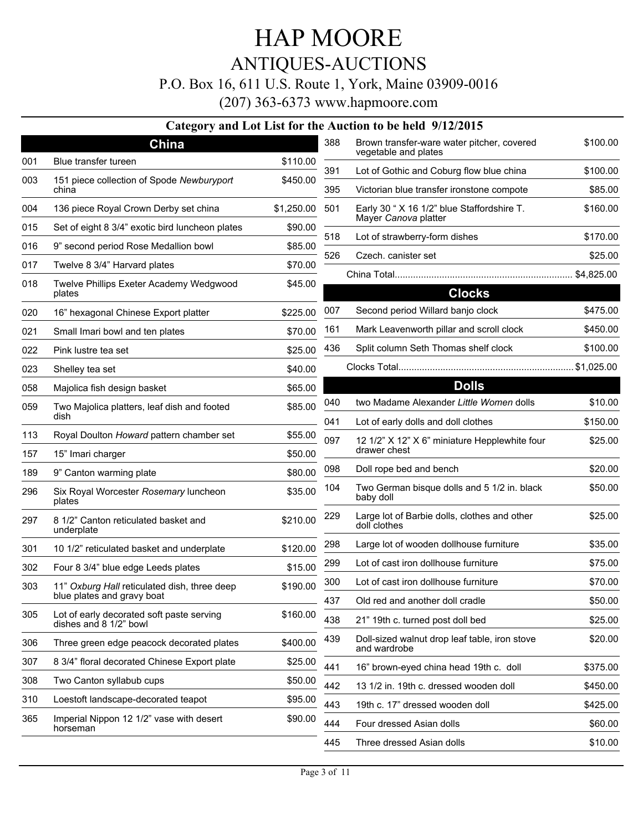ANTIQUES-AUCTIONS

P.O. Box 16, 611 U.S. Route 1, York, Maine 03909-0016

(207) 363-6373 www.hapmoore.com

#### **Category and Lot List for the Auction to be held 9/12/2015**

|     | China                                                               |            | 388 | Brown transfer-ware water pitcher, covered<br>vegetable and plates | \$100.00   |
|-----|---------------------------------------------------------------------|------------|-----|--------------------------------------------------------------------|------------|
| 001 | Blue transfer tureen                                                | \$110.00   | 391 | Lot of Gothic and Coburg flow blue china                           | \$100.00   |
| 003 | 151 piece collection of Spode Newburyport<br>china                  | \$450.00   | 395 | Victorian blue transfer ironstone compote                          | \$85.00    |
| 004 | 136 piece Royal Crown Derby set china                               | \$1,250.00 | 501 | Early 30 " X 16 1/2" blue Staffordshire T.                         | \$160.00   |
| 015 | Set of eight 8 3/4" exotic bird luncheon plates                     | \$90.00    |     | Mayer Canova platter                                               |            |
| 016 | 9" second period Rose Medallion bowl                                | \$85.00    | 518 | Lot of strawberry-form dishes                                      | \$170.00   |
| 017 | Twelve 8 3/4" Harvard plates                                        | \$70.00    | 526 | Czech. canister set                                                | \$25.00    |
| 018 | Twelve Phillips Exeter Academy Wedgwood<br>plates                   | \$45.00    |     | <b>Clocks</b>                                                      | \$4,825.00 |
| 020 | 16" hexagonal Chinese Export platter                                | \$225.00   | 007 | Second period Willard banjo clock                                  | \$475.00   |
| 021 | Small Imari bowl and ten plates                                     | \$70.00    | 161 | Mark Leavenworth pillar and scroll clock                           | \$450.00   |
| 022 | Pink lustre tea set                                                 | \$25.00    | 436 | Split column Seth Thomas shelf clock                               | \$100.00   |
| 023 | Shelley tea set                                                     | \$40.00    |     |                                                                    |            |
| 058 | Majolica fish design basket                                         | \$65.00    |     | <b>Dolls</b>                                                       |            |
| 059 | Two Majolica platters, leaf dish and footed                         | \$85.00    | 040 | two Madame Alexander Little Women dolls                            | \$10.00    |
|     | dish                                                                |            | 041 | Lot of early dolls and doll clothes                                | \$150.00   |
| 113 | Royal Doulton Howard pattern chamber set                            | \$55.00    | 097 | 12 1/2" X 12" X 6" miniature Hepplewhite four<br>drawer chest      | \$25.00    |
| 157 | 15" Imari charger                                                   | \$50.00    |     |                                                                    | \$20.00    |
| 189 | 9" Canton warming plate                                             | \$80.00    | 098 | Doll rope bed and bench                                            |            |
| 296 | Six Royal Worcester Rosemary luncheon<br>plates                     | \$35.00    | 104 | Two German bisque dolls and 5 1/2 in. black<br>baby doll           | \$50.00    |
| 297 | 8 1/2" Canton reticulated basket and<br>underplate                  | \$210.00   | 229 | Large lot of Barbie dolls, clothes and other<br>doll clothes       | \$25.00    |
| 301 | 10 1/2" reticulated basket and underplate                           | \$120.00   | 298 | Large lot of wooden dollhouse furniture                            | \$35.00    |
| 302 | Four 8 3/4" blue edge Leeds plates                                  | \$15.00    | 299 | Lot of cast iron dollhouse furniture                               | \$75.00    |
| 303 | 11" Oxburg Hall reticulated dish, three deep                        | \$190.00   | 300 | Lot of cast iron dollhouse furniture                               | \$70.00    |
|     | blue plates and gravy boat                                          |            | 437 | Old red and another doll cradle                                    | \$50.00    |
| 305 | Lot of early decorated soft paste serving<br>dishes and 8 1/2" bowl | \$160.00   | 438 | 21" 19th c. turned post doll bed                                   | \$25.00    |
| 306 | Three green edge peacock decorated plates                           | \$400.00   | 439 | Doll-sized walnut drop leaf table, iron stove<br>and wardrobe      | \$20.00    |
| 307 | 8 3/4" floral decorated Chinese Export plate                        | \$25.00    | 441 | 16" brown-eyed china head 19th c. doll                             | \$375.00   |
| 308 | Two Canton syllabub cups                                            | \$50.00    | 442 | 13 1/2 in. 19th c. dressed wooden doll                             | \$450.00   |
| 310 | Loestoft landscape-decorated teapot                                 | \$95.00    | 443 | 19th c. 17" dressed wooden doll                                    | \$425.00   |
| 365 | Imperial Nippon 12 1/2" vase with desert<br>horseman                | \$90.00    | 444 | Four dressed Asian dolls                                           | \$60.00    |
|     |                                                                     |            | 445 | Three dressed Asian dolls                                          | \$10.00    |
|     |                                                                     |            |     |                                                                    |            |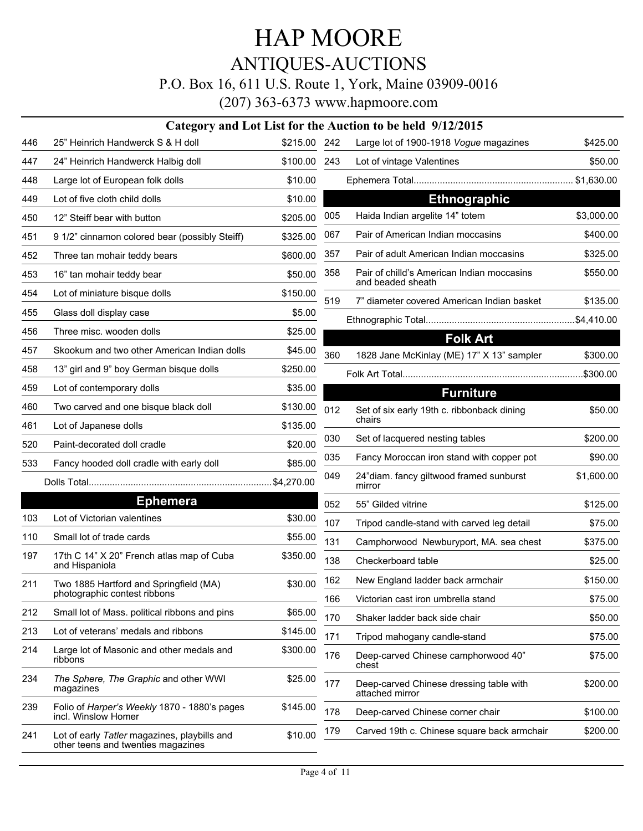ANTIQUES-AUCTIONS P.O. Box 16, 611 U.S. Route 1, York, Maine 03909-0016

|     | Category and Lot List for the Auction to be held 9/12/2015                         |          |     |                                                                 |            |  |  |  |  |
|-----|------------------------------------------------------------------------------------|----------|-----|-----------------------------------------------------------------|------------|--|--|--|--|
| 446 | 25" Heinrich Handwerck S & H doll                                                  | \$215.00 | 242 | Large lot of 1900-1918 Vogue magazines                          | \$425.00   |  |  |  |  |
| 447 | 24" Heinrich Handwerck Halbig doll                                                 | \$100.00 | 243 | Lot of vintage Valentines                                       | \$50.00    |  |  |  |  |
| 448 | Large lot of European folk dolls                                                   | \$10.00  |     |                                                                 |            |  |  |  |  |
| 449 | Lot of five cloth child dolls                                                      | \$10.00  |     | <b>Ethnographic</b>                                             |            |  |  |  |  |
| 450 | 12" Steiff bear with button                                                        | \$205.00 | 005 | Haida Indian argelite 14" totem                                 | \$3,000.00 |  |  |  |  |
| 451 | 9 1/2" cinnamon colored bear (possibly Steiff)                                     | \$325.00 | 067 | Pair of American Indian moccasins                               | \$400.00   |  |  |  |  |
| 452 | Three tan mohair teddy bears                                                       | \$600.00 | 357 | Pair of adult American Indian moccasins                         | \$325.00   |  |  |  |  |
| 453 | 16" tan mohair teddy bear                                                          | \$50.00  | 358 | Pair of chilld's American Indian moccasins<br>and beaded sheath | \$550.00   |  |  |  |  |
| 454 | Lot of miniature bisque dolls                                                      | \$150.00 | 519 | 7" diameter covered American Indian basket                      | \$135.00   |  |  |  |  |
| 455 | Glass doll display case                                                            | \$5.00   |     |                                                                 |            |  |  |  |  |
| 456 | Three misc. wooden dolls                                                           | \$25.00  |     | <b>Folk Art</b>                                                 |            |  |  |  |  |
| 457 | Skookum and two other American Indian dolls                                        | \$45.00  | 360 | 1828 Jane McKinlay (ME) 17" X 13" sampler                       | \$300.00   |  |  |  |  |
| 458 | 13" girl and 9" boy German bisque dolls                                            | \$250.00 |     |                                                                 |            |  |  |  |  |
| 459 | Lot of contemporary dolls                                                          | \$35.00  |     | <b>Furniture</b>                                                |            |  |  |  |  |
| 460 | Two carved and one bisque black doll                                               | \$130.00 | 012 | Set of six early 19th c. ribbonback dining                      | \$50.00    |  |  |  |  |
| 461 | Lot of Japanese dolls                                                              | \$135.00 |     | chairs                                                          |            |  |  |  |  |
| 520 | Paint-decorated doll cradle                                                        | \$20.00  | 030 | Set of lacquered nesting tables                                 | \$200.00   |  |  |  |  |
| 533 | Fancy hooded doll cradle with early doll                                           | \$85.00  | 035 | Fancy Moroccan iron stand with copper pot                       | \$90.00    |  |  |  |  |
|     |                                                                                    |          | 049 | 24"diam. fancy giltwood framed sunburst<br>mirror               | \$1,600.00 |  |  |  |  |
|     | <b>Ephemera</b>                                                                    |          | 052 | 55" Gilded vitrine                                              | \$125.00   |  |  |  |  |
| 103 | Lot of Victorian valentines                                                        | \$30.00  | 107 | Tripod candle-stand with carved leg detail                      | \$75.00    |  |  |  |  |
| 110 | Small lot of trade cards                                                           | \$55.00  | 131 | Camphorwood Newburyport, MA. sea chest                          | \$375.00   |  |  |  |  |
| 197 | 17th C 14" X 20" French atlas map of Cuba<br>and Hispaniola                        | \$350.00 | 138 | Checkerboard table                                              | \$25.00    |  |  |  |  |
| 211 | Two 1885 Hartford and Springfield (MA)                                             | \$30.00  | 162 | New England ladder back armchair                                | \$150.00   |  |  |  |  |
|     | photographic contest ribbons                                                       |          | 166 | Victorian cast iron umbrella stand                              | \$75.00    |  |  |  |  |
| 212 | Small lot of Mass. political ribbons and pins                                      | \$65.00  | 170 | Shaker ladder back side chair                                   | \$50.00    |  |  |  |  |
| 213 | Lot of veterans' medals and ribbons                                                | \$145.00 | 171 | Tripod mahogany candle-stand                                    | \$75.00    |  |  |  |  |
| 214 | Large lot of Masonic and other medals and<br>ribbons                               | \$300.00 | 176 | Deep-carved Chinese camphorwood 40"<br>chest                    | \$75.00    |  |  |  |  |
| 234 | The Sphere, The Graphic and other WWI<br>magazines                                 | \$25.00  | 177 | Deep-carved Chinese dressing table with<br>attached mirror      | \$200.00   |  |  |  |  |
| 239 | Folio of Harper's Weekly 1870 - 1880's pages<br>incl. Winslow Homer                | \$145.00 | 178 | Deep-carved Chinese corner chair                                | \$100.00   |  |  |  |  |
| 241 | Lot of early Tatler magazines, playbills and<br>other teens and twenties magazines | \$10.00  | 179 | Carved 19th c. Chinese square back armchair                     | \$200.00   |  |  |  |  |
|     |                                                                                    |          |     |                                                                 |            |  |  |  |  |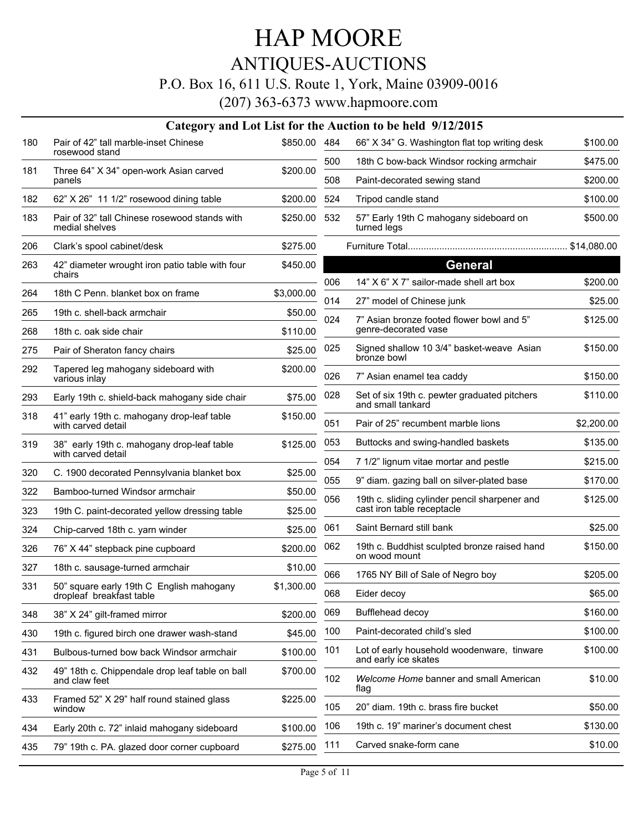# ANTIQUES-AUCTIONS

### P.O. Box 16, 611 U.S. Route 1, York, Maine 03909-0016

|     |                                                                      |              |     | Category and Lot List for the Auction to be held 9/12/2015         |            |
|-----|----------------------------------------------------------------------|--------------|-----|--------------------------------------------------------------------|------------|
| 180 | Pair of 42" tall marble-inset Chinese                                | \$850.00 484 |     | 66" X 34" G. Washington flat top writing desk                      | \$100.00   |
|     | rosewood stand                                                       |              | 500 | 18th C bow-back Windsor rocking armchair                           | \$475.00   |
| 181 | Three 64" X 34" open-work Asian carved<br>panels                     | \$200.00     | 508 | Paint-decorated sewing stand                                       | \$200.00   |
| 182 | 62" X 26" 11 1/2" rosewood dining table                              | \$200.00     | 524 | Tripod candle stand                                                | \$100.00   |
| 183 | Pair of 32" tall Chinese rosewood stands with<br>medial shelves      | \$250.00     | 532 | 57" Early 19th C mahogany sideboard on<br>turned legs              | \$500.00   |
| 206 | Clark's spool cabinet/desk                                           | \$275.00     |     |                                                                    |            |
| 263 | 42" diameter wrought iron patio table with four<br>chairs            | \$450.00     | 006 | <b>General</b><br>14" X 6" X 7" sailor-made shell art box          | \$200.00   |
| 264 | 18th C Penn. blanket box on frame                                    | \$3,000.00   |     |                                                                    |            |
| 265 | 19th c. shell-back armchair                                          | \$50.00      | 014 | 27" model of Chinese junk                                          | \$25.00    |
| 268 | 18th c. oak side chair                                               | \$110.00     | 024 | 7" Asian bronze footed flower bowl and 5"<br>genre-decorated vase  | \$125.00   |
| 275 | Pair of Sheraton fancy chairs                                        | \$25.00      | 025 | Signed shallow 10 3/4" basket-weave Asian<br>bronze bowl           | \$150.00   |
| 292 | Tapered leg mahogany sideboard with<br>various inlay                 | \$200.00     | 026 | 7" Asian enamel tea caddy                                          | \$150.00   |
| 293 | Early 19th c. shield-back mahogany side chair                        | \$75.00      | 028 | Set of six 19th c. pewter graduated pitchers<br>and small tankard  | \$110.00   |
| 318 | 41" early 19th c. mahogany drop-leaf table<br>with carved detail     | \$150.00     | 051 | Pair of 25" recumbent marble lions                                 | \$2,200.00 |
| 319 | 38" early 19th c. mahogany drop-leaf table                           | \$125.00     | 053 | Buttocks and swing-handled baskets                                 | \$135.00   |
|     | with carved detail                                                   |              | 054 | 7 1/2" lignum vitae mortar and pestle                              | \$215.00   |
| 320 | C. 1900 decorated Pennsylvania blanket box                           | \$25.00      | 055 | 9" diam. gazing ball on silver-plated base                         | \$170.00   |
| 322 | Bamboo-turned Windsor armchair                                       | \$50.00      | 056 | 19th c. sliding cylinder pencil sharpener and                      | \$125.00   |
| 323 | 19th C. paint-decorated yellow dressing table                        | \$25.00      |     | cast iron table receptacle                                         |            |
| 324 | Chip-carved 18th c. yarn winder                                      | \$25.00      | 061 | Saint Bernard still bank                                           | \$25.00    |
| 326 | 76" X 44" stepback pine cupboard                                     | \$200.00     | 062 | 19th c. Buddhist sculpted bronze raised hand<br>on wood mount      | \$150.00   |
| 327 | 18th c. sausage-turned armchair                                      | \$10.00      | 066 | 1765 NY Bill of Sale of Negro boy                                  | \$205.00   |
| 331 | 50" square early 19th C English mahogany<br>dropleaf breakfast table | \$1,300.00   | 068 | Eider decoy                                                        | \$65.00    |
| 348 | 38" X 24" gilt-framed mirror                                         | \$200.00     | 069 | Bufflehead decoy                                                   | \$160.00   |
| 430 | 19th c. figured birch one drawer wash-stand                          | \$45.00      | 100 | Paint-decorated child's sled                                       | \$100.00   |
| 431 | Bulbous-turned bow back Windsor armchair                             | \$100.00     | 101 | Lot of early household woodenware, tinware<br>and early ice skates | \$100.00   |
| 432 | 49" 18th c. Chippendale drop leaf table on ball<br>and claw feet     | \$700.00     | 102 | Welcome Home banner and small American<br>flag                     | \$10.00    |
| 433 | Framed 52" X 29" half round stained glass<br>window                  | \$225.00     | 105 | 20" diam. 19th c. brass fire bucket                                | \$50.00    |
| 434 | Early 20th c. 72" inlaid mahogany sideboard                          | \$100.00     | 106 | 19th c. 19" mariner's document chest                               | \$130.00   |
| 435 | 79" 19th c. PA. glazed door corner cupboard                          | \$275.00     | 111 | Carved snake-form cane                                             | \$10.00    |
|     |                                                                      |              |     |                                                                    |            |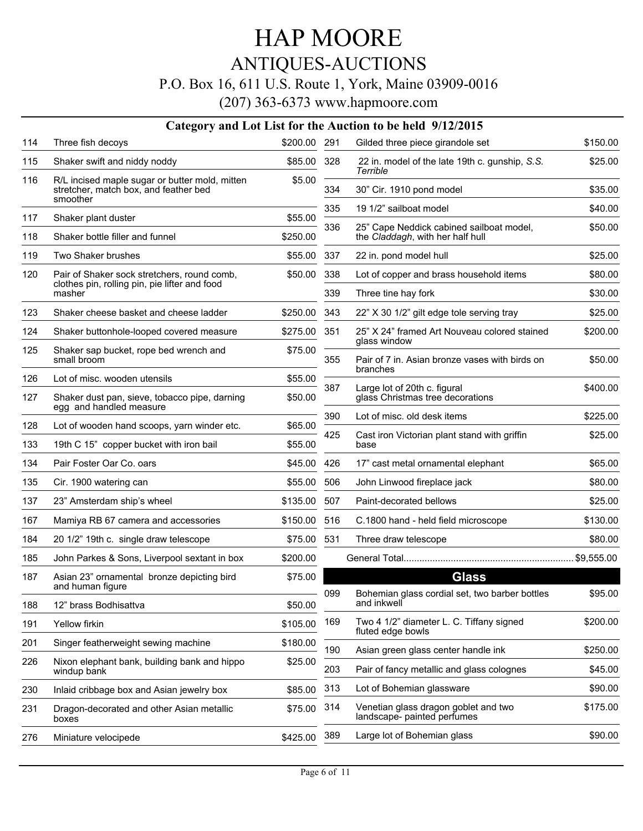# ANTIQUES-AUCTIONS

#### P.O. Box 16, 611 U.S. Route 1, York, Maine 03909-0016

|     |                                                                                                     |          |            | Category and Lot List for the Auction to be held 9/12/2015                       |                     |
|-----|-----------------------------------------------------------------------------------------------------|----------|------------|----------------------------------------------------------------------------------|---------------------|
| 114 | Three fish decoys                                                                                   | \$200.00 | 291        | Gilded three piece girandole set                                                 | \$150.00            |
| 115 | Shaker swift and niddy noddy                                                                        | \$85.00  | 328        | 22 in. model of the late 19th c. gunship, S.S.<br>Terrible                       | \$25.00             |
| 116 | R/L incised maple sugar or butter mold, mitten<br>stretcher, match box, and feather bed<br>smoother | \$5.00   | 334        | 30" Cir. 1910 pond model                                                         | \$35.00             |
| 117 |                                                                                                     | \$55.00  | 335        | 19 1/2" sailboat model                                                           | \$40.00             |
| 118 | Shaker plant duster<br>Shaker bottle filler and funnel                                              | \$250.00 | 336        | 25" Cape Neddick cabined sailboat model,<br>the Claddagh, with her half hull     | \$50.00             |
| 119 | Two Shaker brushes                                                                                  | \$55.00  | 337        | 22 in. pond model hull                                                           | \$25.00             |
| 120 | Pair of Shaker sock stretchers, round comb,                                                         | \$50.00  | 338        | Lot of copper and brass household items                                          | \$80.00             |
|     | clothes pin, rolling pin, pie lifter and food<br>masher                                             |          | 339        | Three tine hay fork                                                              | \$30.00             |
| 123 | Shaker cheese basket and cheese ladder                                                              | \$250.00 | 343        | 22" X 30 1/2" gilt edge tole serving tray                                        | \$25.00             |
| 124 | Shaker buttonhole-looped covered measure                                                            | \$275.00 | 351        | 25" X 24" framed Art Nouveau colored stained<br>glass window                     | \$200.00            |
| 125 | Shaker sap bucket, rope bed wrench and<br>small broom                                               | \$75.00  | 355        | Pair of 7 in. Asian bronze vases with birds on<br>branches                       | \$50.00             |
| 126 | Lot of misc. wooden utensils                                                                        | \$55.00  |            |                                                                                  |                     |
| 127 | Shaker dust pan, sieve, tobacco pipe, darning<br>egg and handled measure                            | \$50.00  | 387        | Large lot of 20th c. figural<br>glass Christmas tree decorations                 | \$400.00            |
| 128 | Lot of wooden hand scoops, yarn winder etc.                                                         | \$65.00  | 390        | Lot of misc. old desk items                                                      | \$225.00            |
| 133 | 19th C 15" copper bucket with iron bail                                                             | \$55.00  | 425        | Cast iron Victorian plant stand with griffin<br>base                             | \$25.00             |
| 134 | Pair Foster Oar Co. oars                                                                            | \$45.00  | 426        | 17" cast metal ornamental elephant                                               | \$65.00             |
| 135 | Cir. 1900 watering can                                                                              | \$55.00  | 506        | John Linwood fireplace jack                                                      | \$80.00             |
| 137 | 23" Amsterdam ship's wheel                                                                          | \$135.00 | 507        | Paint-decorated bellows                                                          | \$25.00             |
| 167 | Mamiya RB 67 camera and accessories                                                                 | \$150.00 | 516        | C.1800 hand - held field microscope                                              | \$130.00            |
| 184 | 20 1/2" 19th c. single draw telescope                                                               | \$75.00  | 531        | Three draw telescope                                                             | \$80.00             |
| 185 | John Parkes & Sons, Liverpool sextant in box                                                        | \$200.00 |            |                                                                                  |                     |
| 187 | Asian 23" ornamental bronze depicting bird<br>and human figure                                      | \$75.00  |            | <b>Glass</b>                                                                     |                     |
| 188 | 12" brass Bodhisattva                                                                               | \$50.00  | 099        | Bohemian glass cordial set, two barber bottles<br>and inkwell                    | \$95.00             |
| 191 | Yellow firkin                                                                                       | \$105.00 | 169        | Two 4 1/2" diameter L. C. Tiffany signed<br>fluted edge bowls                    | \$200.00            |
| 201 | Singer featherweight sewing machine                                                                 | \$180.00 |            |                                                                                  |                     |
| 226 | Nixon elephant bank, building bank and hippo<br>windup bank                                         | \$25.00  | 190<br>203 | Asian green glass center handle ink<br>Pair of fancy metallic and glass colognes | \$250.00<br>\$45.00 |
| 230 | Inlaid cribbage box and Asian jewelry box                                                           | \$85.00  | 313        | Lot of Bohemian glassware                                                        | \$90.00             |
| 231 | Dragon-decorated and other Asian metallic<br>boxes                                                  | \$75.00  | 314        | Venetian glass dragon goblet and two<br>landscape- painted perfumes              | \$175.00            |
| 276 | Miniature velocipede                                                                                | \$425.00 | 389        | Large lot of Bohemian glass                                                      | \$90.00             |
|     |                                                                                                     |          |            |                                                                                  |                     |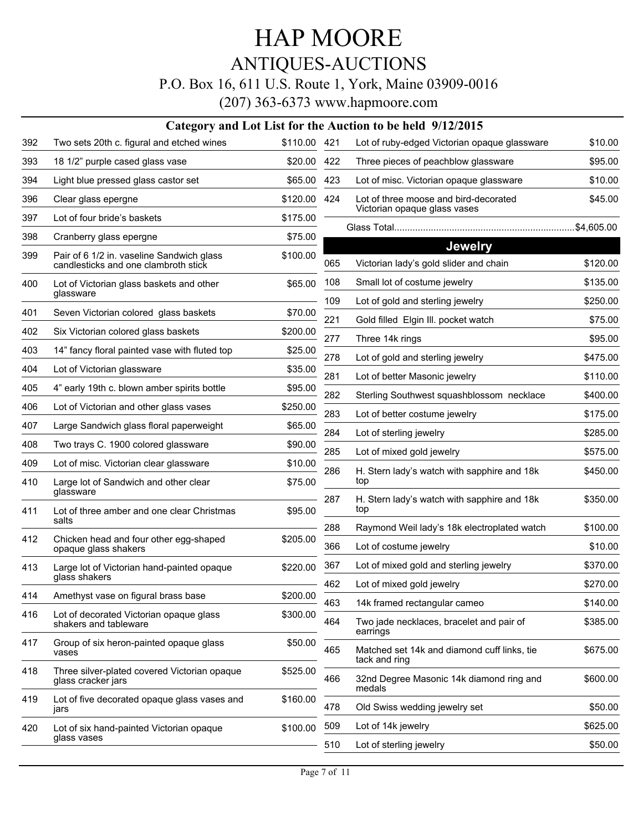ANTIQUES-AUCTIONS

### P.O. Box 16, 611 U.S. Route 1, York, Maine 03909-0016

|     | Category and Lot List for the Auction to be held 9/12/2015                        |              |     |                                                                       |          |  |  |  |
|-----|-----------------------------------------------------------------------------------|--------------|-----|-----------------------------------------------------------------------|----------|--|--|--|
| 392 | Two sets 20th c. figural and etched wines                                         | \$110.00 421 |     | Lot of ruby-edged Victorian opaque glassware                          | \$10.00  |  |  |  |
| 393 | 18 1/2" purple cased glass vase                                                   | \$20.00      | 422 | Three pieces of peachblow glassware                                   | \$95.00  |  |  |  |
| 394 | Light blue pressed glass castor set                                               | \$65.00      | 423 | Lot of misc. Victorian opaque glassware                               | \$10.00  |  |  |  |
| 396 | Clear glass epergne                                                               | \$120.00     | 424 | Lot of three moose and bird-decorated<br>Victorian opaque glass vases | \$45.00  |  |  |  |
| 397 | Lot of four bride's baskets                                                       | \$175.00     |     |                                                                       |          |  |  |  |
| 398 | Cranberry glass epergne                                                           | \$75.00      |     | <b>Jewelry</b>                                                        |          |  |  |  |
| 399 | Pair of 6 1/2 in. vaseline Sandwich glass<br>candlesticks and one clambroth stick | \$100.00     | 065 | Victorian lady's gold slider and chain                                | \$120.00 |  |  |  |
| 400 | Lot of Victorian glass baskets and other<br>glassware                             | \$65.00      | 108 | Small lot of costume jewelry                                          | \$135.00 |  |  |  |
| 401 | Seven Victorian colored glass baskets                                             | \$70.00      | 109 | Lot of gold and sterling jewelry                                      | \$250.00 |  |  |  |
| 402 | Six Victorian colored glass baskets                                               | \$200.00     | 221 | Gold filled Elgin III. pocket watch                                   | \$75.00  |  |  |  |
|     |                                                                                   |              | 277 | Three 14k rings                                                       | \$95.00  |  |  |  |
| 403 | 14" fancy floral painted vase with fluted top                                     | \$25.00      | 278 | Lot of gold and sterling jewelry                                      | \$475.00 |  |  |  |
| 404 | Lot of Victorian glassware                                                        | \$35.00      | 281 | Lot of better Masonic jewelry                                         | \$110.00 |  |  |  |
| 405 | 4" early 19th c. blown amber spirits bottle                                       | \$95.00      | 282 | Sterling Southwest squashblossom necklace                             | \$400.00 |  |  |  |
| 406 | Lot of Victorian and other glass vases                                            | \$250.00     | 283 | Lot of better costume jewelry                                         | \$175.00 |  |  |  |
| 407 | Large Sandwich glass floral paperweight                                           | \$65.00      | 284 | Lot of sterling jewelry                                               | \$285.00 |  |  |  |
| 408 | Two trays C. 1900 colored glassware                                               | \$90.00      | 285 | Lot of mixed gold jewelry                                             | \$575.00 |  |  |  |
| 409 | Lot of misc. Victorian clear glassware                                            | \$10.00      | 286 | H. Stern lady's watch with sapphire and 18k                           | \$450.00 |  |  |  |
| 410 | Large lot of Sandwich and other clear<br>glassware                                | \$75.00      | 287 | top<br>H. Stern lady's watch with sapphire and 18k                    | \$350.00 |  |  |  |
| 411 | Lot of three amber and one clear Christmas<br>salts                               | \$95.00      |     | top                                                                   |          |  |  |  |
| 412 | Chicken head and four other egg-shaped                                            | \$205.00     | 288 | Raymond Weil lady's 18k electroplated watch                           | \$100.00 |  |  |  |
|     | opaque glass shakers                                                              |              | 366 | Lot of costume jewelry                                                | \$10.00  |  |  |  |
| 413 | Large lot of Victorian hand-painted opaque<br>glass shakers                       | \$220.00     | 367 | Lot of mixed gold and sterling jewelry                                | \$370.00 |  |  |  |
|     |                                                                                   |              | 462 | Lot of mixed gold jewelry                                             | \$270.00 |  |  |  |
| 414 | Amethyst vase on figural brass base                                               | \$200.00     | 463 | 14k framed rectangular cameo                                          | \$140.00 |  |  |  |
| 416 | Lot of decorated Victorian opaque glass<br>shakers and tableware                  | \$300.00     | 464 | Two jade necklaces, bracelet and pair of<br>earrings                  | \$385.00 |  |  |  |
| 417 | Group of six heron-painted opaque glass<br>vases                                  | \$50.00      | 465 | Matched set 14k and diamond cuff links, tie<br>tack and ring          | \$675.00 |  |  |  |
| 418 | Three silver-plated covered Victorian opaque<br>glass cracker jars                | \$525.00     | 466 | 32nd Degree Masonic 14k diamond ring and<br>medals                    | \$600.00 |  |  |  |
| 419 | Lot of five decorated opaque glass vases and<br>jars                              | \$160.00     | 478 | Old Swiss wedding jewelry set                                         | \$50.00  |  |  |  |
| 420 | Lot of six hand-painted Victorian opaque                                          | \$100.00     | 509 | Lot of 14k jewelry                                                    | \$625.00 |  |  |  |
|     | glass vases                                                                       |              | 510 | Lot of sterling jewelry                                               | \$50.00  |  |  |  |
|     |                                                                                   |              |     |                                                                       |          |  |  |  |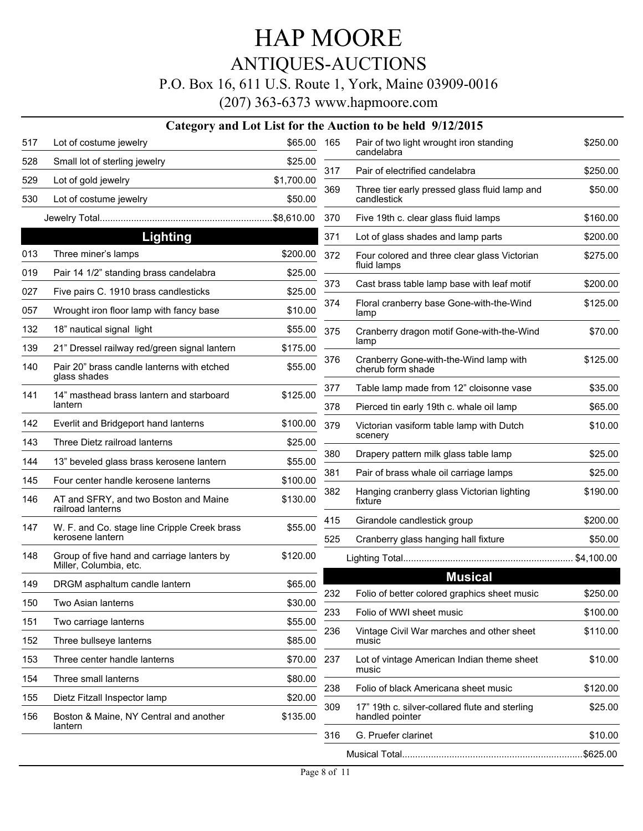# ANTIQUES-AUCTIONS

#### P.O. Box 16, 611 U.S. Route 1, York, Maine 03909-0016

|     |                                                                      |             |     | Category and Lot List for the Auction to be held 9/12/2015        |          |
|-----|----------------------------------------------------------------------|-------------|-----|-------------------------------------------------------------------|----------|
| 517 | Lot of costume jewelry                                               | \$65.00 165 |     | Pair of two light wrought iron standing<br>candelabra             | \$250.00 |
| 528 | Small lot of sterling jewelry                                        | \$25.00     | 317 | Pair of electrified candelabra                                    | \$250.00 |
| 529 | Lot of gold jewelry                                                  | \$1,700.00  | 369 | Three tier early pressed glass fluid lamp and                     |          |
| 530 | Lot of costume jewelry                                               | \$50.00     |     | candlestick                                                       | \$50.00  |
|     |                                                                      |             | 370 | Five 19th c. clear glass fluid lamps                              | \$160.00 |
|     | <b>Lighting</b>                                                      |             | 371 | Lot of glass shades and lamp parts                                | \$200.00 |
| 013 | Three miner's lamps                                                  | \$200.00    | 372 | Four colored and three clear glass Victorian                      | \$275.00 |
| 019 | Pair 14 1/2" standing brass candelabra                               | \$25.00     |     | fluid lamps                                                       |          |
| 027 | Five pairs C. 1910 brass candlesticks                                | \$25.00     | 373 | Cast brass table lamp base with leaf motif                        | \$200.00 |
| 057 | Wrought iron floor lamp with fancy base                              | \$10.00     | 374 | Floral cranberry base Gone-with-the-Wind<br>lamp                  | \$125.00 |
| 132 | 18" nautical signal light                                            | \$55.00     | 375 | Cranberry dragon motif Gone-with-the-Wind                         | \$70.00  |
| 139 | 21" Dressel railway red/green signal lantern                         | \$175.00    |     | lamp                                                              |          |
| 140 | Pair 20" brass candle lanterns with etched<br>glass shades           | \$55.00     | 376 | Cranberry Gone-with-the-Wind lamp with<br>cherub form shade       | \$125.00 |
| 141 | 14" masthead brass lantern and starboard                             | \$125.00    | 377 | Table lamp made from 12" cloisonne vase                           | \$35.00  |
|     | lantern                                                              |             | 378 | Pierced tin early 19th c. whale oil lamp                          | \$65.00  |
| 142 | Everlit and Bridgeport hand lanterns                                 | \$100.00    | 379 | Victorian vasiform table lamp with Dutch<br>scenery               | \$10.00  |
| 143 | Three Dietz railroad lanterns                                        | \$25.00     | 380 |                                                                   |          |
| 144 | 13" beveled glass brass kerosene lantern                             | \$55.00     |     | Drapery pattern milk glass table lamp                             | \$25.00  |
| 145 | Four center handle kerosene lanterns                                 | \$100.00    | 381 | Pair of brass whale oil carriage lamps                            | \$25.00  |
| 146 | AT and SFRY, and two Boston and Maine<br>railroad lanterns           | \$130.00    | 382 | Hanging cranberry glass Victorian lighting<br>fixture             | \$190.00 |
| 147 | W. F. and Co. stage line Cripple Creek brass                         | \$55.00     | 415 | Girandole candlestick group                                       | \$200.00 |
|     | kerosene lantern                                                     |             | 525 | Cranberry glass hanging hall fixture                              | \$50.00  |
| 148 | Group of five hand and carriage lanters by<br>Miller, Columbia, etc. | \$120.00    |     |                                                                   |          |
| 149 | DRGM asphaltum candle lantern                                        | \$65.00     |     | <b>Musical</b>                                                    |          |
| 150 | Two Asian lanterns                                                   | \$30.00     | 232 | Folio of better colored graphics sheet music                      | \$250.00 |
| 151 | Two carriage lanterns                                                | \$55.00     | 233 | Folio of WWI sheet music                                          | \$100.00 |
| 152 | Three bullseye lanterns                                              | \$85.00     | 236 | Vintage Civil War marches and other sheet<br>music                | \$110.00 |
| 153 | Three center handle lanterns                                         | \$70.00     | 237 | Lot of vintage American Indian theme sheet<br>music               | \$10.00  |
| 154 | Three small lanterns                                                 | \$80.00     |     |                                                                   |          |
| 155 | Dietz Fitzall Inspector lamp                                         | \$20.00     | 238 | Folio of black Americana sheet music                              | \$120.00 |
| 156 | Boston & Maine, NY Central and another<br>lantern                    | \$135.00    | 309 | 17" 19th c. silver-collared flute and sterling<br>handled pointer | \$25.00  |
|     |                                                                      |             | 316 | G. Pruefer clarinet                                               | \$10.00  |
|     |                                                                      |             |     |                                                                   |          |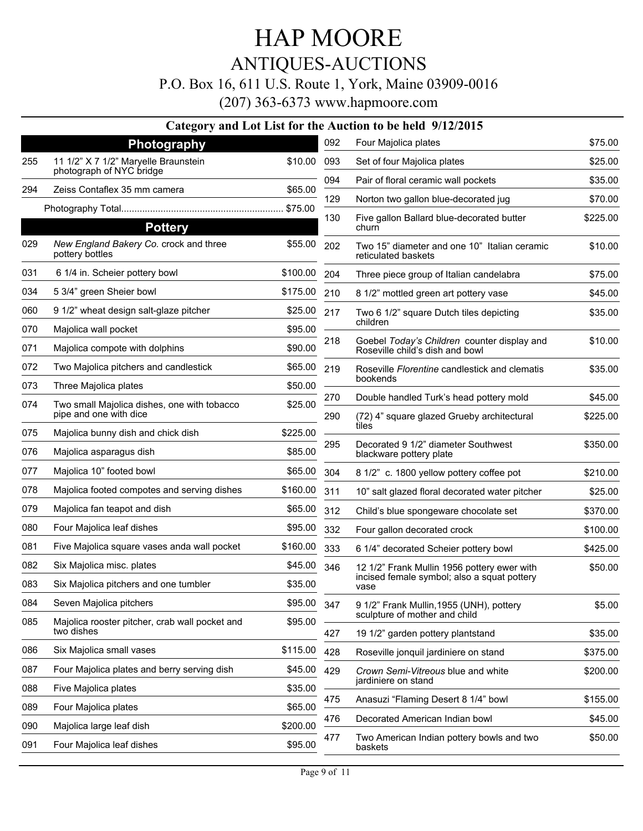### ANTIQUES-AUCTIONS

#### P.O. Box 16, 611 U.S. Route 1, York, Maine 03909-0016

(207) 363-6373 www.hapmoore.com

#### **Category and Lot List for the Auction to be held 9/12/2015**

|     | <b>Photography</b>                                           |          | 092 | Four Majolica plates                                                           | \$75.00  |
|-----|--------------------------------------------------------------|----------|-----|--------------------------------------------------------------------------------|----------|
| 255 | 11 1/2" X 7 1/2" Maryelle Braunstein                         | \$10.00  | 093 | Set of four Majolica plates                                                    | \$25.00  |
|     | photograph of NYC bridge                                     |          | 094 | Pair of floral ceramic wall pockets                                            | \$35.00  |
| 294 | Zeiss Contaflex 35 mm camera                                 | \$65.00  | 129 | Norton two gallon blue-decorated jug                                           | \$70.00  |
|     | <b>Pottery</b>                                               |          | 130 | Five gallon Ballard blue-decorated butter<br>churn                             | \$225.00 |
| 029 | New England Bakery Co. crock and three<br>pottery bottles    | \$55.00  | 202 | Two 15" diameter and one 10" Italian ceramic<br>reticulated baskets            | \$10.00  |
| 031 | 6 1/4 in. Scheier pottery bowl                               | \$100.00 | 204 | Three piece group of Italian candelabra                                        | \$75.00  |
| 034 | 5 3/4" green Sheier bowl                                     | \$175.00 | 210 | 8 1/2" mottled green art pottery vase                                          | \$45.00  |
| 060 | 9 1/2" wheat design salt-glaze pitcher                       | \$25.00  | 217 | Two 6 1/2" square Dutch tiles depicting                                        | \$35.00  |
| 070 | Majolica wall pocket                                         | \$95.00  |     | children                                                                       |          |
| 071 | Majolica compote with dolphins                               | \$90.00  | 218 | Goebel Today's Children counter display and<br>Roseville child's dish and bowl | \$10.00  |
| 072 | Two Majolica pitchers and candlestick                        | \$65.00  | 219 | Roseville <i>Florentine</i> candlestick and clematis                           | \$35.00  |
| 073 | Three Majolica plates                                        | \$50.00  |     | bookends                                                                       |          |
| 074 | Two small Majolica dishes, one with tobacco                  | \$25.00  | 270 | Double handled Turk's head pottery mold                                        | \$45.00  |
|     | pipe and one with dice                                       |          | 290 | (72) 4" square glazed Grueby architectural<br>tiles                            | \$225.00 |
| 075 | Majolica bunny dish and chick dish                           | \$225.00 | 295 | Decorated 9 1/2" diameter Southwest                                            | \$350.00 |
| 076 | Majolica asparagus dish                                      | \$85.00  |     | blackware pottery plate                                                        |          |
| 077 | Majolica 10" footed bowl                                     | \$65.00  | 304 | 8 1/2" c. 1800 yellow pottery coffee pot                                       | \$210.00 |
| 078 | Majolica footed compotes and serving dishes                  | \$160.00 | 311 | 10" salt glazed floral decorated water pitcher                                 | \$25.00  |
| 079 | Majolica fan teapot and dish                                 | \$65.00  | 312 | Child's blue spongeware chocolate set                                          | \$370.00 |
| 080 | Four Majolica leaf dishes                                    | \$95.00  | 332 | Four gallon decorated crock                                                    | \$100.00 |
| 081 | Five Majolica square vases anda wall pocket                  | \$160.00 | 333 | 6 1/4" decorated Scheier pottery bowl                                          | \$425.00 |
| 082 | Six Majolica misc. plates                                    | \$45.00  | 346 | 12 1/2" Frank Mullin 1956 pottery ewer with                                    | \$50.00  |
| 083 | Six Majolica pitchers and one tumbler                        | \$35.00  |     | incised female symbol; also a squat pottery<br>vase                            |          |
| 084 | Seven Majolica pitchers                                      | \$95.00  | 347 | 9 1/2" Frank Mullin, 1955 (UNH), pottery                                       | \$5.00   |
| 085 | Majolica rooster pitcher, crab wall pocket and<br>two dishes | \$95.00  |     | sculpture of mother and child                                                  |          |
|     |                                                              |          | 427 | 19 1/2" garden pottery plantstand                                              | \$35.00  |
| 086 | Six Majolica small vases                                     | \$115.00 | 428 | Roseville jonquil jardiniere on stand                                          | \$375.00 |
| 087 | Four Majolica plates and berry serving dish                  | \$45.00  | 429 | Crown Semi-Vitreous blue and white<br>jardiniere on stand                      | \$200.00 |
| 088 | Five Majolica plates                                         | \$35.00  | 475 | Anasuzi "Flaming Desert 8 1/4" bowl                                            | \$155.00 |
| 089 | Four Majolica plates                                         | \$65.00  | 476 | Decorated American Indian bowl                                                 | \$45.00  |
| 090 | Majolica large leaf dish                                     | \$200.00 |     |                                                                                |          |
| 091 | Four Majolica leaf dishes                                    | \$95.00  | 477 | Two American Indian pottery bowls and two<br>baskets                           | \$50.00  |
|     |                                                              |          |     |                                                                                |          |